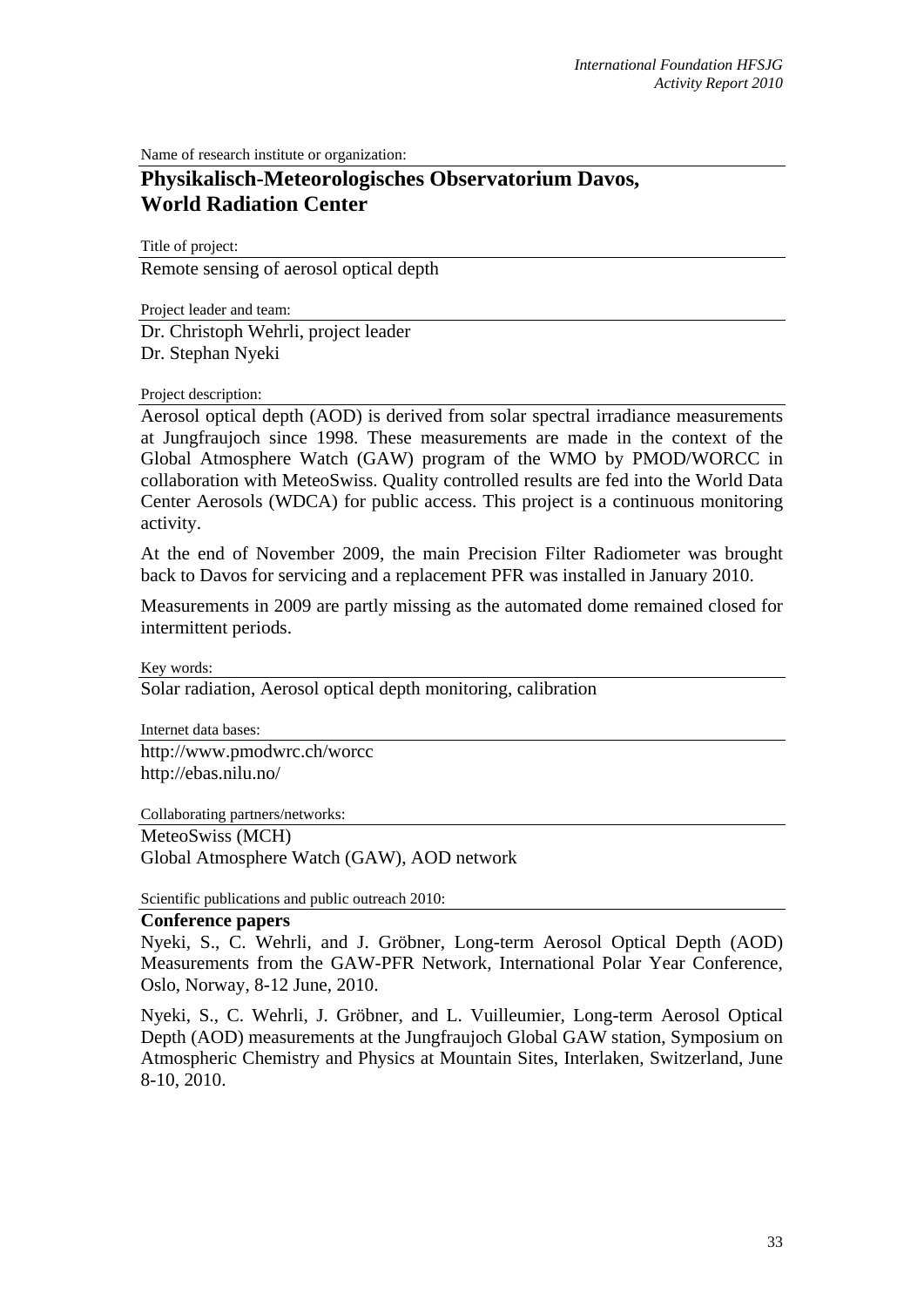Name of research institute or organization:

## **Physikalisch-Meteorologisches Observatorium Davos, World Radiation Center**

Title of project:

Remote sensing of aerosol optical depth

Project leader and team:

Dr. Christoph Wehrli, project leader Dr. Stephan Nyeki

## Project description:

Aerosol optical depth (AOD) is derived from solar spectral irradiance measurements at Jungfraujoch since 1998. These measurements are made in the context of the Global Atmosphere Watch (GAW) program of the WMO by PMOD/WORCC in collaboration with MeteoSwiss. Quality controlled results are fed into the World Data Center Aerosols (WDCA) for public access. This project is a continuous monitoring activity.

At the end of November 2009, the main Precision Filter Radiometer was brought back to Davos for servicing and a replacement PFR was installed in January 2010.

Measurements in 2009 are partly missing as the automated dome remained closed for intermittent periods.

Key words:

Solar radiation, Aerosol optical depth monitoring, calibration

Internet data bases: http://www.pmodwrc.ch/worcc http://ebas.nilu.no/

Collaborating partners/networks:

MeteoSwiss (MCH)

Global Atmosphere Watch (GAW), AOD network

Scientific publications and public outreach 2010:

## **Conference papers**

Nyeki, S., C. Wehrli, and J. Gröbner, Long-term Aerosol Optical Depth (AOD) Measurements from the GAW-PFR Network, International Polar Year Conference, Oslo, Norway, 8-12 June, 2010.

Nyeki, S., C. Wehrli, J. Gröbner, and L. Vuilleumier, Long-term Aerosol Optical Depth (AOD) measurements at the Jungfraujoch Global GAW station, Symposium on Atmospheric Chemistry and Physics at Mountain Sites, Interlaken, Switzerland, June 8-10, 2010.